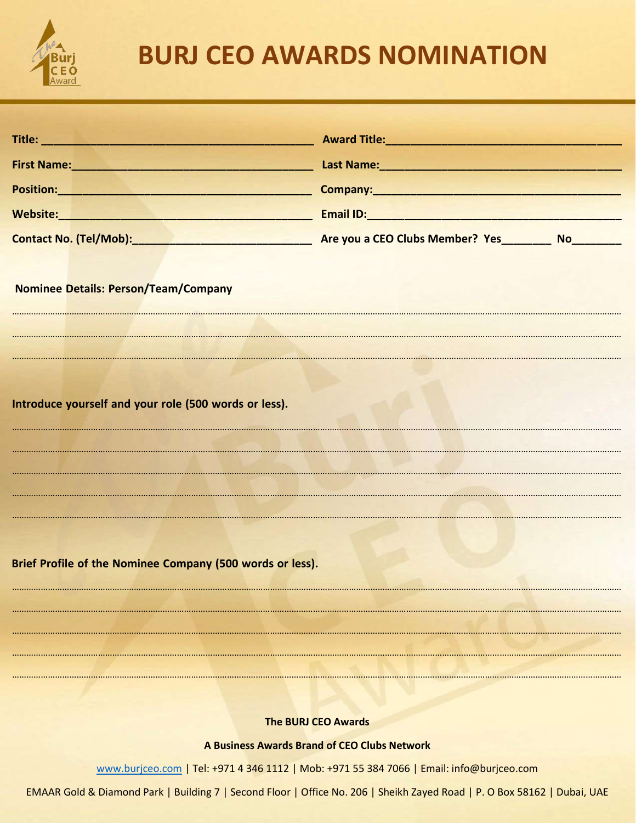

## **BURJ CEO AWARDS NOMINATION**

| Title: Title: Title: The Commission of the Commission of the Commission of the Commission of the Commission of | Award Title: <u>Award Title:</u>                                                                                                                                                                                               |
|----------------------------------------------------------------------------------------------------------------|--------------------------------------------------------------------------------------------------------------------------------------------------------------------------------------------------------------------------------|
|                                                                                                                | Last Name: 1988 and 2010 and 2010 and 2010 and 2010 and 2010 and 2010 and 2010 and 2010 and 2010 and 2010 and 2010 and 2010 and 2010 and 2010 and 2010 and 2010 and 2010 and 2010 and 2010 and 2010 and 2010 and 2010 and 2010 |
|                                                                                                                | Position: New York Company: New York Company: New York Company: New York Company:                                                                                                                                              |
|                                                                                                                |                                                                                                                                                                                                                                |
|                                                                                                                |                                                                                                                                                                                                                                |
|                                                                                                                |                                                                                                                                                                                                                                |
| <b>Nominee Details: Person/Team/Company</b>                                                                    |                                                                                                                                                                                                                                |
|                                                                                                                |                                                                                                                                                                                                                                |
|                                                                                                                |                                                                                                                                                                                                                                |
|                                                                                                                |                                                                                                                                                                                                                                |
|                                                                                                                |                                                                                                                                                                                                                                |
| Introduce yourself and your role (500 words or less).                                                          |                                                                                                                                                                                                                                |
|                                                                                                                |                                                                                                                                                                                                                                |
|                                                                                                                |                                                                                                                                                                                                                                |
|                                                                                                                |                                                                                                                                                                                                                                |
|                                                                                                                |                                                                                                                                                                                                                                |
|                                                                                                                |                                                                                                                                                                                                                                |
| Brief Profile of the Nominee Company (500 words or less).                                                      |                                                                                                                                                                                                                                |
|                                                                                                                |                                                                                                                                                                                                                                |
|                                                                                                                |                                                                                                                                                                                                                                |
|                                                                                                                |                                                                                                                                                                                                                                |
|                                                                                                                |                                                                                                                                                                                                                                |
|                                                                                                                |                                                                                                                                                                                                                                |
| <b>The BURJ CEO Awards</b>                                                                                     |                                                                                                                                                                                                                                |
| A Business Awards Brand of CEO Clubs Network                                                                   |                                                                                                                                                                                                                                |

www.burjceo.com | Tel: +971 4 346 1112 | Mob: +971 55 384 7066 | Email: info@burjceo.com

EMAAR Gold & Diamond Park | Building 7 | Second Floor | Office No. 206 | Sheikh Zayed Road | P. O Box 58162 | Dubai, UAE